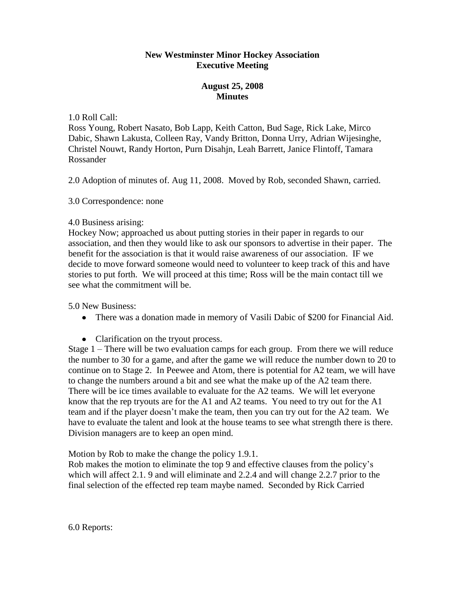## **New Westminster Minor Hockey Association Executive Meeting**

## **August 25, 2008 Minutes**

## 1.0 Roll Call:

Ross Young, Robert Nasato, Bob Lapp, Keith Catton, Bud Sage, Rick Lake, Mirco Dabic, Shawn Lakusta, Colleen Ray, Vandy Britton, Donna Urry, Adrian Wijesinghe, Christel Nouwt, Randy Horton, Purn Disahjn, Leah Barrett, Janice Flintoff, Tamara Rossander

2.0 Adoption of minutes of. Aug 11, 2008. Moved by Rob, seconded Shawn, carried.

3.0 Correspondence: none

## 4.0 Business arising:

Hockey Now; approached us about putting stories in their paper in regards to our association, and then they would like to ask our sponsors to advertise in their paper. The benefit for the association is that it would raise awareness of our association. IF we decide to move forward someone would need to volunteer to keep track of this and have stories to put forth. We will proceed at this time; Ross will be the main contact till we see what the commitment will be.

5.0 New Business:

- There was a donation made in memory of Vasili Dabic of \$200 for Financial Aid.
- Clarification on the tryout process.

Stage 1 – There will be two evaluation camps for each group. From there we will reduce the number to 30 for a game, and after the game we will reduce the number down to 20 to continue on to Stage 2. In Peewee and Atom, there is potential for A2 team, we will have to change the numbers around a bit and see what the make up of the A2 team there. There will be ice times available to evaluate for the A2 teams. We will let everyone know that the rep tryouts are for the A1 and A2 teams. You need to try out for the A1 team and if the player doesn't make the team, then you can try out for the A2 team. We have to evaluate the talent and look at the house teams to see what strength there is there. Division managers are to keep an open mind.

Motion by Rob to make the change the policy 1.9.1.

Rob makes the motion to eliminate the top 9 and effective clauses from the policy's which will affect 2.1. 9 and will eliminate and 2.2.4 and will change 2.2.7 prior to the final selection of the effected rep team maybe named. Seconded by Rick Carried

6.0 Reports: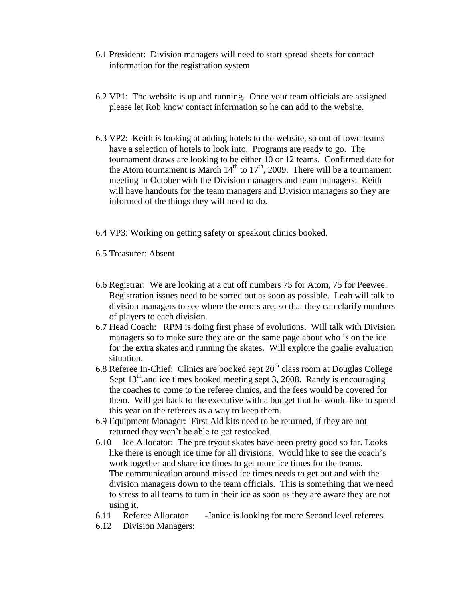- 6.1 President: Division managers will need to start spread sheets for contact information for the registration system
- 6.2 VP1: The website is up and running. Once your team officials are assigned please let Rob know contact information so he can add to the website.
- 6.3 VP2: Keith is looking at adding hotels to the website, so out of town teams have a selection of hotels to look into. Programs are ready to go. The tournament draws are looking to be either 10 or 12 teams. Confirmed date for the Atom tournament is March  $14<sup>th</sup>$  to  $17<sup>th</sup>$ , 2009. There will be a tournament meeting in October with the Division managers and team managers. Keith will have handouts for the team managers and Division managers so they are informed of the things they will need to do.
- 6.4 VP3: Working on getting safety or speakout clinics booked.

6.5 Treasurer: Absent

- 6.6 Registrar: We are looking at a cut off numbers 75 for Atom, 75 for Peewee. Registration issues need to be sorted out as soon as possible. Leah will talk to division managers to see where the errors are, so that they can clarify numbers of players to each division.
- 6.7 Head Coach: RPM is doing first phase of evolutions. Will talk with Division managers so to make sure they are on the same page about who is on the ice for the extra skates and running the skates. Will explore the goalie evaluation situation.
- 6.8 Referee In-Chief: Clinics are booked sept  $20<sup>th</sup>$  class room at Douglas College Sept  $13<sup>th</sup>$  and ice times booked meeting sept 3, 2008. Randy is encouraging the coaches to come to the referee clinics, and the fees would be covered for them. Will get back to the executive with a budget that he would like to spend this year on the referees as a way to keep them.
- 6.9 Equipment Manager: First Aid kits need to be returned, if they are not returned they won't be able to get restocked.
- 6.10 Ice Allocator: The pre tryout skates have been pretty good so far. Looks like there is enough ice time for all divisions. Would like to see the coach's work together and share ice times to get more ice times for the teams. The communication around missed ice times needs to get out and with the division managers down to the team officials. This is something that we need to stress to all teams to turn in their ice as soon as they are aware they are not using it.
- 6.11 Referee Allocator -Janice is looking for more Second level referees.
- 6.12 Division Managers: